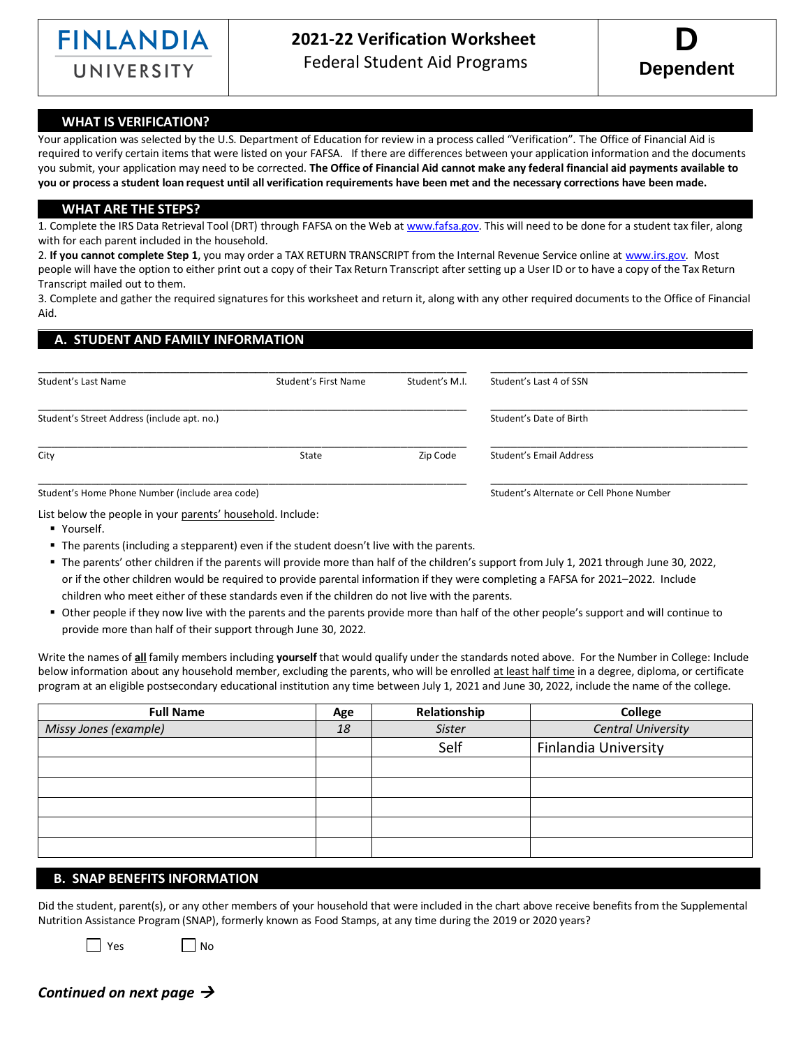

# **2021-22 Verification Worksheet**

UNIVERSITY Federal Student Aid Programs



#### **WHAT IS VERIFICATION?**

Your application was selected by the U.S. Department of Education for review in a process called "Verification". The Office of Financial Aid is required to verify certain items that were listed on your FAFSA. If there are differences between your application information and the documents you submit, your application may need to be corrected. **The Office of Financial Aid cannot make any federal financial aid payments available to you or process a student loan request until all verification requirements have been met and the necessary corrections have been made.**

#### **WHAT ARE THE STEPS?**

1. Complete the IRS Data Retrieval Tool (DRT) through FAFSA on the Web a[t www.fafsa.gov.](http://www.fafsa.gov/) This will need to be done for a student tax filer, along with for each parent included in the household.

2. **If you cannot complete Step 1**, you may order a TAX RETURN TRANSCRIPT from the Internal Revenue Service online a[t www.irs.gov.](http://www.irs.gov/) Most people will have the option to either print out a copy of their Tax Return Transcript after setting up a User ID or to have a copy of the Tax Return Transcript mailed out to them.

3. Complete and gather the required signatures for this worksheet and return it, along with any other required documents to the Office of Financial Aid.

## **A. STUDENT AND FAMILY INFORMATION**

| Student's Last Name                             | Student's First Name | Student's M.I. | Student's Last 4 of SSN                  |
|-------------------------------------------------|----------------------|----------------|------------------------------------------|
| Student's Street Address (include apt. no.)     |                      |                | Student's Date of Birth                  |
| City                                            | State                | Zip Code       | Student's Email Address                  |
| Student's Home Phone Number (include area code) |                      |                | Student's Alternate or Cell Phone Number |

List below the people in your parents' household. Include:

- Yourself.
- The parents (including a stepparent) even if the student doesn't live with the parents.
- The parents' other children if the parents will provide more than half of the children's support from July 1, 2021 through June 30, 2022, or if the other children would be required to provide parental information if they were completing a FAFSA for 2021–2022. Include children who meet either of these standards even if the children do not live with the parents.
- Other people if they now live with the parents and the parents provide more than half of the other people's support and will continue to provide more than half of their support through June 30, 2022.

Write the names of **all** family members including **yourself** that would qualify under the standards noted above. For the Number in College: Include below information about any household member, excluding the parents, who will be enrolled at least half time in a degree, diploma, or certificate program at an eligible postsecondary educational institution any time between July 1, 2021 and June 30, 2022, include the name of the college.

| <b>Full Name</b>      | Age | Relationship | <b>College</b>            |
|-----------------------|-----|--------------|---------------------------|
| Missy Jones (example) | 18  | Sister       | <b>Central University</b> |
|                       |     | Self         | Finlandia University      |
|                       |     |              |                           |
|                       |     |              |                           |
|                       |     |              |                           |
|                       |     |              |                           |
|                       |     |              |                           |

### **B. SNAP BENEFITS INFORMATION**

Did the student, parent(s), or any other members of your household that were included in the chart above receive benefits from the Supplemental Nutrition Assistance Program (SNAP), formerly known as Food Stamps, at any time during the 2019 or 2020 years?

 $\Box$  Yes  $\Box$  No

*Continued on next page* →